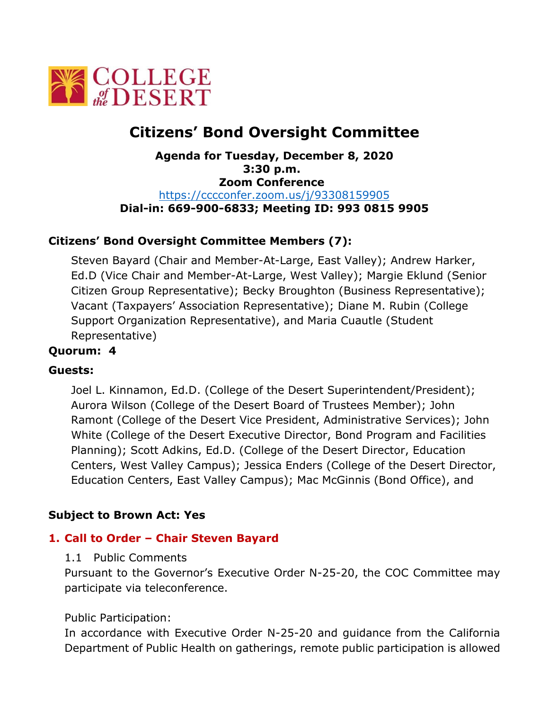

# **Citizens' Bond Oversight Committee**

### **Agenda for Tuesday, December 8, 2020 3:30 p.m. Zoom Conference**  <https://cccconfer.zoom.us/j/93308159905> **Dial-in: 669-900-6833; Meeting ID: 993 0815 9905**

# **Citizens' Bond Oversight Committee Members (7):**

Steven Bayard (Chair and Member-At-Large, East Valley); Andrew Harker, Ed.D (Vice Chair and Member-At-Large, West Valley); Margie Eklund (Senior Citizen Group Representative); Becky Broughton (Business Representative); Vacant (Taxpayers' Association Representative); Diane M. Rubin (College Support Organization Representative), and Maria Cuautle (Student Representative)

### **Quorum: 4**

### **Guests:**

Joel L. Kinnamon, Ed.D. (College of the Desert Superintendent/President); Aurora Wilson (College of the Desert Board of Trustees Member); John Ramont (College of the Desert Vice President, Administrative Services); John White (College of the Desert Executive Director, Bond Program and Facilities Planning); Scott Adkins, Ed.D. (College of the Desert Director, Education Centers, West Valley Campus); Jessica Enders (College of the Desert Director, Education Centers, East Valley Campus); Mac McGinnis (Bond Office), and

### **Subject to Brown Act: Yes**

### **1. Call to Order – Chair Steven Bayard**

#### 1.1 Public Comments

Pursuant to the Governor's Executive Order N-25-20, the COC Committee may participate via teleconference.

#### Public Participation:

In accordance with Executive Order N-25-20 and guidance from the California Department of Public Health on gatherings, remote public participation is allowed